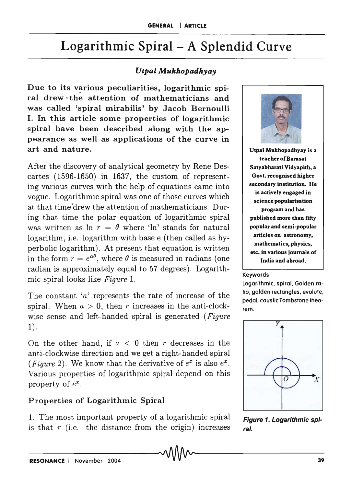# Logarithmic Spiral - A Splendid Curve

# *UtpalAfukhopadhyay*

Due to its various peculiarities, logarithmic spiral drew· the attention of mathematicians and was called 'spiral mirabilis' by Jacob Bernoulli I. In this article some properties of logarithmic spiral have been described along with the appearance as well as applications of the curve in art and nature.

After the discovery of analytical geometry by Rene Descartes (1596-1650) in 1637, the custom of representing various curves with the help of equations came into vogue. Logarithmic spiral was one of those curves which at that time "drew the attention of mathematicians. During that time the polar equation of logarithmic spiral was written as  $\ln r = \theta$  where 'ln' stands for natural logarithm, i.e. logarithm with base e (then called as hyperbolic logarithm). At present that equation is written in the form  $r = e^{a\theta}$ , where  $\theta$  is measured in radians (one radian is approximately equal to 57 degrees). Logarithmic spiral looks like *Figure* 1.

The constant *'a'* represents the rate of increase of the spiral. When  $a > 0$ , then *r* increases in the anti-clockwise sense and left-handed spiral is generated *(Figure*   $1$ ).

On the other hand, if  $a < 0$  then r decreases in the anti-clockwise direction and we get a right-handed spiral (*Figure* 2). We know that the derivative of  $e^x$  is also  $e^x$ . Various properties of logarithmic spiral depend on this property of  $e^x$ .

# Properties of Logarithmic Spiral

1. The most important property of a logarithmic spiral is that  $r$  (i.e. the distance from the origin) increases



Utpal Mukhopadhyay is a teacher of Barasat Satyabharati Vidyapith, a Govt. recognised higher secondary institution. He is actively engaged in science popularisation program and has published more than fifty popular and semi-popular articles on astronomy, mathematics, physics, etc. in various journals of India and abroad.

### Keywords

logarithmic, spiral. Golden ratio, golden rectangles, evolute, pedal. caustic Tombstone theorem.



Figure 1. Logarithmic spiral.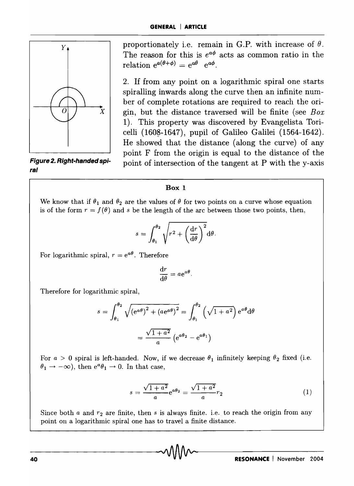

**Figure 2. Right-handed spira/** 

proportionately i.e. remain in G.P. with increase of  $\theta$ . The reason for this is  $e^{a\phi}$  acts as common ratio in the relation  $e^{a(\theta+\phi)} = e^{a\theta} e^{a\phi}$ .

2. If from any point on a logarithmic spiral one starts spiralling inwards along the curve then an infinite number of complete rotations are required to reach the origin, but the distance traversed will be finite (see *Box*  1). This property was discovered by Evangelista Toricelli  $(1608-1647)$ , pupil of Galileo Galilei  $(1564-1642)$ . He showed that the distance (along the curve) of any point F from the origin is equal to the distance of the point of intersection of the tangent at P with the y-axis

### **Box 1**

We know that if  $\theta_1$  and  $\theta_2$  are the values of  $\theta$  for two points on a curve whose equation is of the form  $r = f(\theta)$  and *s* be the length of the arc between those two points, then,

$$
s = \int_{\theta_1}^{\theta_2} \sqrt{r^2 + \left(\frac{\mathrm{d}r}{\mathrm{d}\theta}\right)^2} \mathrm{d}\theta.
$$

For logarithmic spiral,  $r = e^{a\theta}$ . Therefore

$$
\frac{\mathrm{d}r}{\mathrm{d}\theta} = a e^{a\theta}.
$$

Therefore for logarithmic spiral,

$$
s = \int_{\theta_1}^{\theta_2} \sqrt{(e^{a\theta})^2 + (ae^{a\theta})^2} = \int_{\theta_1}^{\theta_2} \left(\sqrt{1 + a^2}\right) e^{a\theta} d\theta
$$

$$
= \frac{\sqrt{1 + a^2}}{a} \left(e^{a\theta_2} - e^{a\theta_1}\right)
$$

For  $a > 0$  spiral is left-handed. Now, if we decrease  $\theta_1$  infinitely keeping  $\theta_2$  fixed (i.e.  $\theta_1 \rightarrow -\infty$ ), then  $e^a \theta_1 \rightarrow 0$ . In that case,

$$
s = \frac{\sqrt{1+a^2}}{a}e^{a\theta_2} = \frac{\sqrt{1+a^2}}{a}r_2\tag{1}
$$

Since both *a* and  $r_2$  are finite, then *s* is always finite. i.e. to reach the origin from any point on a logarithmic spiral one has to travel a finite distance.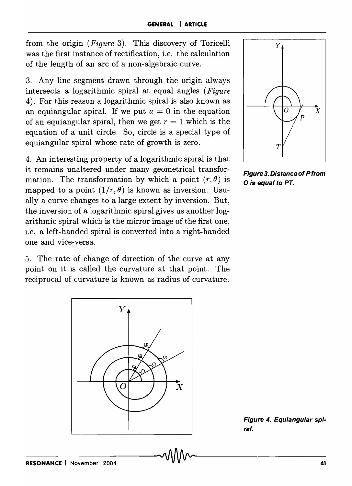from the origin *(Figure* 3). This discovery of Toricelli was the first instance of rectification, i.e. the calculation of the length of an arc of a non-algebraic curve.

3. Any line segment drawn through the origin always intersects a logarithmic spiral at equal angles *(Figure*  4). For this reason a logarithmic spiral is also known as an equiangular spiral. If we put  $a = 0$  in the equation of an equiangular spiral, then we get  $r = 1$  which is the equation of a unit circle. So, circle is a special type of equiangular spiral whose rate of growth is zero.

4. An interesting property of a logarithmic spiral is that it remains unaltered under many geometrical transformation. The transformation by which a point  $(r, \theta)$  is mapped to a point  $(1/r, \theta)$  is known as inversion. Usually a curve changes to a large extent by inversion. But, the inversion of a logarithmic spiral gives us another logarithmic spiral which is the mirror image of the first one, i.e. a left-handed spiral is converted into a right-handed one and vice-versa.

5. The rate of change of direction of the curve at any point on it is called the curvature at that point. The reciprocal of curvature is known as radius of curvature.





Figure 3. Distance of Pfrom o is equal to PT.

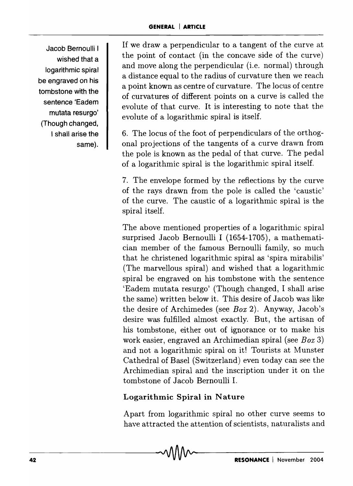Jacob Bernoulli I wished that a logarithmic spiral be engraved on his tombstone with the sentence 'Eadem mutata resurgo' (Though changed, I shall arise the same).

If we draw a perpendicular to a tangent of the curve at the point of contact (in the concave side of the curve) and move along the perpendicular (i.e. normal) through a distance equal to the radius of curvature then we reach a point known as centre of curvature. The locus of centre of curvatures of different points on a curve is called the evolute of that curve. It is interesting to note that the evolute of a logarithmic spiral is itself.

6. The locus of the foot of perpendiculars of the orthogonal projections of the tangents of a curve drawn from the pole is known as the pedal of that curve. The pedal of a logarithmic spiral is the logarithmic spiral itself.

7. The envelope formed by the reflections by the curve of the rays drawn from the pole is called the 'caustic' of the curve. The caustic of a logarithmic spiral is the spiral itself.

The above mentioned properties of a logarithmic spiral surprised Jacob Bernoulli I (1654-1705), a mathematician member of the famous Bernoulli family, so much that he christened logarithmic spiral as 'spira mirabilis' (The marvellous spiral) and wished that a logarithmic spiral be engraved on his tombstone with the sentence 'Eadem mutata resurgo' (Though changed, I shall arise the same) written below it. This desire of Jacob was like the desire of Archimedes (see *Box* 2). Anyway, Jacob's desire was fulfilled alrnost exactly. But, the artisan of his tombstone, either out of ignorance or to make his work easier, engraved an Archimedian spiral (see *Box 3)*  and not a logarithmic spiral on itl Tourists at Munster Cathedral of Basel (Switzerland) even today can see the Archimedian spiral and the inscription under it on the tombstone of Jacob Bernoulli 1.

# Logarithmic Spiral in Nature

Apart from logarithmic spiral no other curve seems to have attracted the attention of scientists, naturalists and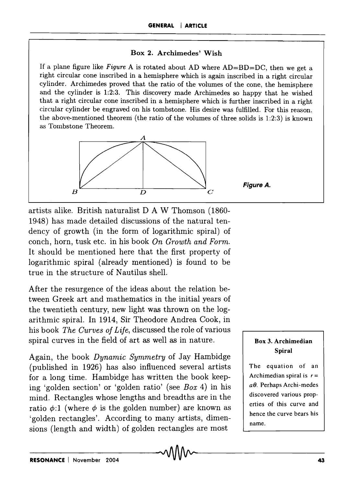## Box 2. Archimedes' Wish

If a plane figure like *Figure* A is rotated about AD where AD=BD=DC, then we get a right circular cone inscribed in a hemisphere which is again inscribed in a right circular cylinder. Archimedes proved that the ratio of the volumes of the cone, the hemisphere and the cylinder is 1:2:3. This discovery made Archimedes so happy that he wished that a right circular cone inscribed in a hemisphere which is further inscribed in a right circular cylinder be engraved on his tombstone. His desire was fulfilled. For this reason, the above-mentioned theorem (the ratio of the volumes of three solids is 1:2:3) is known as Tombstone Theorem.



artists alike. British naturalist D A W Thomson (1860- 1948) has made detailed discussions of the natural tendency of growth (in the form of logarithmic spiral) of conch, horn, tusk etc. in his book *On Growth and Form.*  It should be mentioned here that the first property of logarithmic spiral (already mentioned) is found to be true in the structure of Nautilus shell.

After the resurgence of the ideas about the relation between Greek art and mathematics in the initial years of the twentieth century, new light was thrown on the logarithmic spiral. In 1914, Sir Theodore Andrea Cook, in his book *The Curves of Life,* discussed the role of various spiral curves in the field of art as well as in nature.

Again, the book *Dynamic Symmetry* of Jay Hambidge (published in 1926) has also influenced several artists for a long time. Hambidge has written the book keeping 'golden section' or 'golden ratio' (see *Box* 4) in his mind. Rectangles whose lengths and breadths are in the ratio  $\phi$ :1 (where  $\phi$  is the golden number) are known as 'golden rectangles'. According to many artists, dimensions (length and width) of golden rectangles are most

## Box 3. Archimedian Spiral

The equation of an Archimedian spiral is  $r =$ *aB.* Perhaps Archi-medes discovered various properties of this curve and hence the curve bears his name.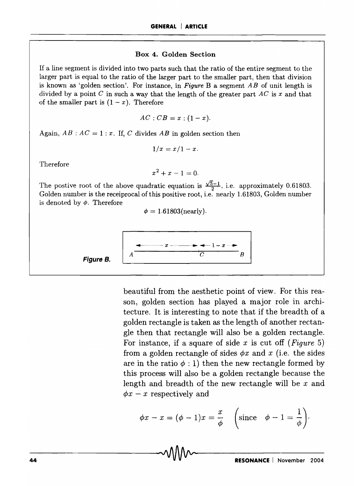#### Box 4. Golden Section

If a line segment is divided into two parts such that the ratio of the entire segment to the larger part is equal to the ratio of the larger part to the smaller part, then that division is known as 'golden section'. For instance, in *Figure* B a segment *AB* of unit length is divided by a point  $C$  in such a way that the length of the greater part  $AC$  is  $x$  and that of the smaller part is  $(1-x)$ . Therefore

$$
AC:CB=x:(1-x).
$$

Again,  $AB : AC = 1 : x$ . If, *C* divides *AB* in golden section then

$$
1/x=x/1-x.
$$

Therefore

$$
x^2 + x - 1 = 0.
$$

The postive root of the above quadratic equation is  $\frac{\sqrt{5}-1}{2}$ , i.e. approximately 0.61803. Golden number is the receiprocal of this positive root, i.e. nearly 1.61803, Golden number is denoted by  $\phi$ . Therefore

$$
\phi = 1.61803(\mathrm{nearly}).
$$



beautiful from the aesthetic point of view. For this reason, golden section has played a major role in architecture. It is interesting to note that if the breadth of a golden rectangle is taken as the length of another rectangle then that rectangle will also be a golden rectangle. For instance, if a square of side *x* is cut off *(Figure 5)*  from a golden rectangle of sides  $\phi x$  and x (i.e. the sides are in the ratio  $\phi$  : 1) then the new rectangle formed by this process will also be a golden rectangle because the length and breadth of the new rectangle will be *x* and  $\phi x - x$  respectively and

$$
\phi x - x = (\phi - 1)x = \frac{x}{\phi} \quad \left(\text{since } \phi - 1 = \frac{1}{\phi}\right).
$$